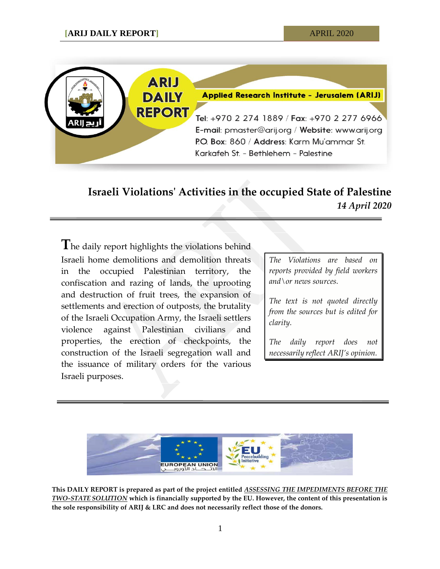

## **Israeli Violations' Activities in the occupied State of Palestine** *14 April 2020*

**T**he daily report highlights the violations behind Israeli home demolitions and demolition threats in the occupied Palestinian territory, the confiscation and razing of lands, the uprooting and destruction of fruit trees, the expansion of settlements and erection of outposts, the brutality of the Israeli Occupation Army, the Israeli settlers violence against Palestinian civilians and properties, the erection of checkpoints, the construction of the Israeli segregation wall and the issuance of military orders for the various Israeli purposes.

*The Violations are based on reports provided by field workers and\or news sources.*

*The text is not quoted directly from the sources but is edited for clarity.*

*The daily report does not necessarily reflect ARIJ's opinion.*



**This DAILY REPORT is prepared as part of the project entitled** *ASSESSING THE IMPEDIMENTS BEFORE THE TWO-STATE SOLUTION* **which is financially supported by the EU. However, the content of this presentation is the sole responsibility of ARIJ & LRC and does not necessarily reflect those of the donors.**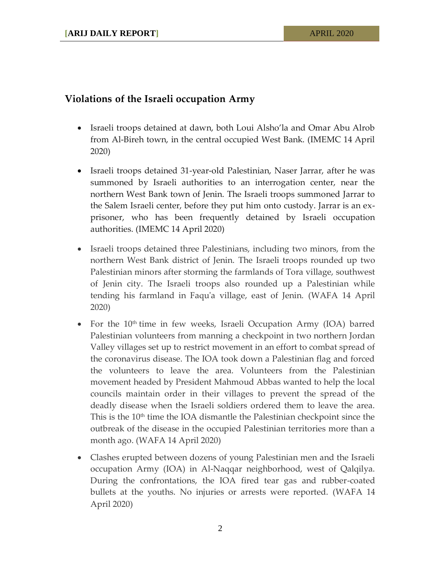## **Violations of the Israeli occupation Army**

- Israeli troops detained at dawn, both Loui Alsho'la and Omar Abu Alrob from Al-Bireh town, in the central occupied West Bank. (IMEMC 14 April 2020)
- Israeli troops detained 31-year-old Palestinian, Naser Jarrar, after he was summoned by Israeli authorities to an interrogation center, near the northern West Bank town of Jenin. The Israeli troops summoned Jarrar to the Salem Israeli center, before they put him onto custody. Jarrar is an exprisoner, who has been frequently detained by Israeli occupation authorities. (IMEMC 14 April 2020)
- Israeli troops detained three Palestinians, including two minors, from the northern West Bank district of Jenin. The Israeli troops rounded up two Palestinian minors after storming the farmlands of Tora village, southwest of Jenin city. The Israeli troops also rounded up a Palestinian while tending his farmland in Faqu'a village, east of Jenin. (WAFA 14 April 2020)
- For the 10<sup>th</sup> time in few weeks, Israeli Occupation Army (IOA) barred Palestinian volunteers from manning a checkpoint in two northern Jordan Valley villages set up to restrict movement in an effort to combat spread of the coronavirus disease. The IOA took down a Palestinian flag and forced the volunteers to leave the area. Volunteers from the Palestinian movement headed by President Mahmoud Abbas wanted to help the local councils maintain order in their villages to prevent the spread of the deadly disease when the Israeli soldiers ordered them to leave the area. This is the  $10<sup>th</sup>$  time the IOA dismantle the Palestinian checkpoint since the outbreak of the disease in the occupied Palestinian territories more than a month ago. (WAFA 14 April 2020)
- Clashes erupted between dozens of young Palestinian men and the Israeli occupation Army (IOA) in Al-Naqqar neighborhood, west of Qalqilya. During the confrontations, the IOA fired tear gas and rubber-coated bullets at the youths. No injuries or arrests were reported. (WAFA 14 April 2020)